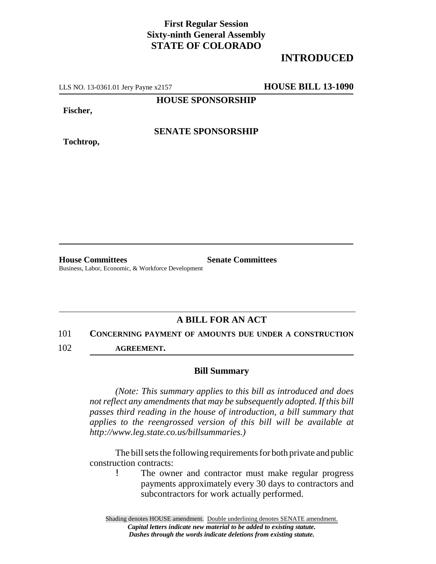# **First Regular Session Sixty-ninth General Assembly STATE OF COLORADO**

# **INTRODUCED**

LLS NO. 13-0361.01 Jery Payne x2157 **HOUSE BILL 13-1090**

**HOUSE SPONSORSHIP**

**Fischer,**

**Tochtrop,**

**SENATE SPONSORSHIP**

**House Committees Senate Committees** Business, Labor, Economic, & Workforce Development

### **A BILL FOR AN ACT**

101 **CONCERNING PAYMENT OF AMOUNTS DUE UNDER A CONSTRUCTION**

102 **AGREEMENT.**

#### **Bill Summary**

*(Note: This summary applies to this bill as introduced and does not reflect any amendments that may be subsequently adopted. If this bill passes third reading in the house of introduction, a bill summary that applies to the reengrossed version of this bill will be available at http://www.leg.state.co.us/billsummaries.)*

The bill sets the following requirements for both private and public construction contracts:

! The owner and contractor must make regular progress payments approximately every 30 days to contractors and subcontractors for work actually performed.

Shading denotes HOUSE amendment. Double underlining denotes SENATE amendment. *Capital letters indicate new material to be added to existing statute. Dashes through the words indicate deletions from existing statute.*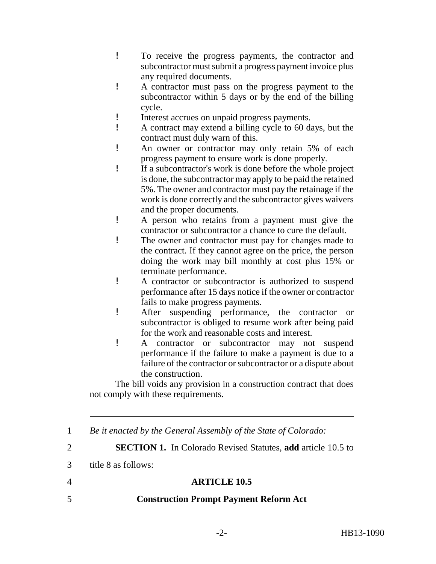- ! To receive the progress payments, the contractor and subcontractor must submit a progress payment invoice plus any required documents.
- ! A contractor must pass on the progress payment to the subcontractor within 5 days or by the end of the billing cycle.
- ! Interest accrues on unpaid progress payments.
- ! A contract may extend a billing cycle to 60 days, but the contract must duly warn of this.
- ! An owner or contractor may only retain 5% of each progress payment to ensure work is done properly.
- ! If a subcontractor's work is done before the whole project is done, the subcontractor may apply to be paid the retained 5%. The owner and contractor must pay the retainage if the work is done correctly and the subcontractor gives waivers and the proper documents.
- ! A person who retains from a payment must give the contractor or subcontractor a chance to cure the default.
- ! The owner and contractor must pay for changes made to the contract. If they cannot agree on the price, the person doing the work may bill monthly at cost plus 15% or terminate performance.
- ! A contractor or subcontractor is authorized to suspend performance after 15 days notice if the owner or contractor fails to make progress payments.
- ! After suspending performance, the contractor or subcontractor is obliged to resume work after being paid for the work and reasonable costs and interest.
- ! A contractor or subcontractor may not suspend performance if the failure to make a payment is due to a failure of the contractor or subcontractor or a dispute about the construction.

The bill voids any provision in a construction contract that does not comply with these requirements.

1 *Be it enacted by the General Assembly of the State of Colorado:*

2 **SECTION 1.** In Colorado Revised Statutes, **add** article 10.5 to

3 title 8 as follows:

4 **ARTICLE 10.5**

# 5 **Construction Prompt Payment Reform Act**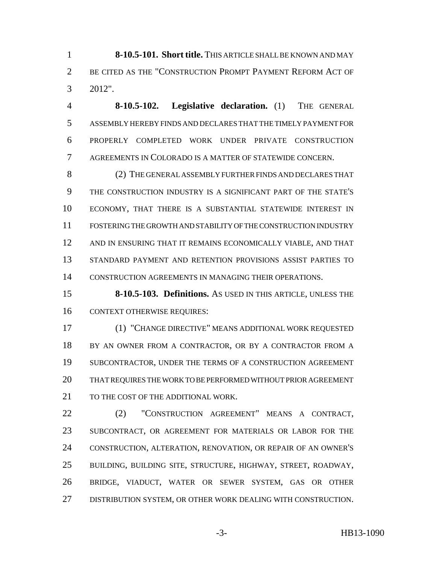**8-10.5-101. Short title.** THIS ARTICLE SHALL BE KNOWN AND MAY BE CITED AS THE "CONSTRUCTION PROMPT PAYMENT REFORM ACT OF 2012".

 **8-10.5-102. Legislative declaration.** (1) THE GENERAL ASSEMBLY HEREBY FINDS AND DECLARES THAT THE TIMELY PAYMENT FOR PROPERLY COMPLETED WORK UNDER PRIVATE CONSTRUCTION AGREEMENTS IN COLORADO IS A MATTER OF STATEWIDE CONCERN.

 (2) THE GENERAL ASSEMBLY FURTHER FINDS AND DECLARES THAT THE CONSTRUCTION INDUSTRY IS A SIGNIFICANT PART OF THE STATE'S ECONOMY, THAT THERE IS A SUBSTANTIAL STATEWIDE INTEREST IN FOSTERING THE GROWTH AND STABILITY OF THE CONSTRUCTION INDUSTRY AND IN ENSURING THAT IT REMAINS ECONOMICALLY VIABLE, AND THAT STANDARD PAYMENT AND RETENTION PROVISIONS ASSIST PARTIES TO CONSTRUCTION AGREEMENTS IN MANAGING THEIR OPERATIONS.

 **8-10.5-103. Definitions.** AS USED IN THIS ARTICLE, UNLESS THE CONTEXT OTHERWISE REQUIRES:

 (1) "CHANGE DIRECTIVE" MEANS ADDITIONAL WORK REQUESTED 18 BY AN OWNER FROM A CONTRACTOR, OR BY A CONTRACTOR FROM A SUBCONTRACTOR, UNDER THE TERMS OF A CONSTRUCTION AGREEMENT THAT REQUIRES THE WORK TO BE PERFORMED WITHOUT PRIOR AGREEMENT 21 TO THE COST OF THE ADDITIONAL WORK.

 (2) "CONSTRUCTION AGREEMENT" MEANS A CONTRACT, SUBCONTRACT, OR AGREEMENT FOR MATERIALS OR LABOR FOR THE CONSTRUCTION, ALTERATION, RENOVATION, OR REPAIR OF AN OWNER'S BUILDING, BUILDING SITE, STRUCTURE, HIGHWAY, STREET, ROADWAY, BRIDGE, VIADUCT, WATER OR SEWER SYSTEM, GAS OR OTHER DISTRIBUTION SYSTEM, OR OTHER WORK DEALING WITH CONSTRUCTION.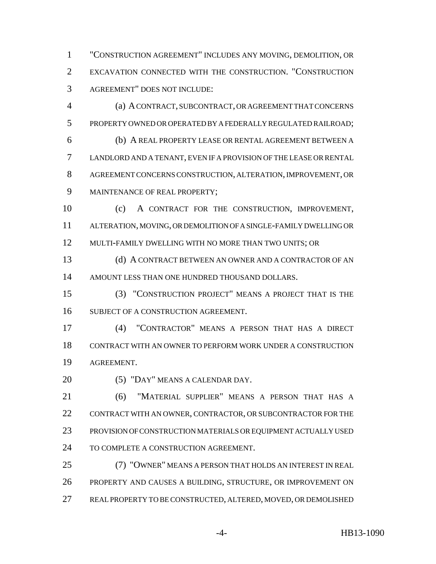"CONSTRUCTION AGREEMENT" INCLUDES ANY MOVING, DEMOLITION, OR EXCAVATION CONNECTED WITH THE CONSTRUCTION. "CONSTRUCTION AGREEMENT" DOES NOT INCLUDE:

 (a) A CONTRACT, SUBCONTRACT, OR AGREEMENT THAT CONCERNS PROPERTY OWNED OR OPERATED BY A FEDERALLY REGULATED RAILROAD; (b) A REAL PROPERTY LEASE OR RENTAL AGREEMENT BETWEEN A LANDLORD AND A TENANT, EVEN IF A PROVISION OF THE LEASE OR RENTAL AGREEMENT CONCERNS CONSTRUCTION, ALTERATION, IMPROVEMENT, OR MAINTENANCE OF REAL PROPERTY;

 (c) A CONTRACT FOR THE CONSTRUCTION, IMPROVEMENT, ALTERATION, MOVING, OR DEMOLITION OF A SINGLE-FAMILY DWELLING OR MULTI-FAMILY DWELLING WITH NO MORE THAN TWO UNITS; OR

13 (d) A CONTRACT BETWEEN AN OWNER AND A CONTRACTOR OF AN AMOUNT LESS THAN ONE HUNDRED THOUSAND DOLLARS.

 (3) "CONSTRUCTION PROJECT" MEANS A PROJECT THAT IS THE SUBJECT OF A CONSTRUCTION AGREEMENT.

 (4) "CONTRACTOR" MEANS A PERSON THAT HAS A DIRECT CONTRACT WITH AN OWNER TO PERFORM WORK UNDER A CONSTRUCTION AGREEMENT.

20 (5) "DAY" MEANS A CALENDAR DAY.

 (6) "MATERIAL SUPPLIER" MEANS A PERSON THAT HAS A 22 CONTRACT WITH AN OWNER, CONTRACTOR, OR SUBCONTRACTOR FOR THE PROVISION OF CONSTRUCTION MATERIALS OR EQUIPMENT ACTUALLY USED TO COMPLETE A CONSTRUCTION AGREEMENT.

 (7) "OWNER" MEANS A PERSON THAT HOLDS AN INTEREST IN REAL PROPERTY AND CAUSES A BUILDING, STRUCTURE, OR IMPROVEMENT ON REAL PROPERTY TO BE CONSTRUCTED, ALTERED, MOVED, OR DEMOLISHED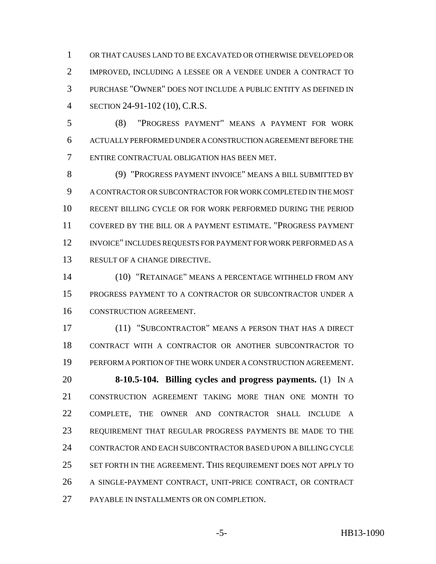OR THAT CAUSES LAND TO BE EXCAVATED OR OTHERWISE DEVELOPED OR IMPROVED, INCLUDING A LESSEE OR A VENDEE UNDER A CONTRACT TO PURCHASE "OWNER" DOES NOT INCLUDE A PUBLIC ENTITY AS DEFINED IN SECTION 24-91-102 (10), C.R.S.

 (8) "PROGRESS PAYMENT" MEANS A PAYMENT FOR WORK ACTUALLY PERFORMED UNDER A CONSTRUCTION AGREEMENT BEFORE THE ENTIRE CONTRACTUAL OBLIGATION HAS BEEN MET.

 (9) "PROGRESS PAYMENT INVOICE" MEANS A BILL SUBMITTED BY A CONTRACTOR OR SUBCONTRACTOR FOR WORK COMPLETED IN THE MOST RECENT BILLING CYCLE OR FOR WORK PERFORMED DURING THE PERIOD COVERED BY THE BILL OR A PAYMENT ESTIMATE. "PROGRESS PAYMENT INVOICE" INCLUDES REQUESTS FOR PAYMENT FOR WORK PERFORMED AS A RESULT OF A CHANGE DIRECTIVE.

 (10) "RETAINAGE" MEANS A PERCENTAGE WITHHELD FROM ANY PROGRESS PAYMENT TO A CONTRACTOR OR SUBCONTRACTOR UNDER A CONSTRUCTION AGREEMENT.

 (11) "SUBCONTRACTOR" MEANS A PERSON THAT HAS A DIRECT CONTRACT WITH A CONTRACTOR OR ANOTHER SUBCONTRACTOR TO PERFORM A PORTION OF THE WORK UNDER A CONSTRUCTION AGREEMENT.

 **8-10.5-104. Billing cycles and progress payments.** (1) IN A CONSTRUCTION AGREEMENT TAKING MORE THAN ONE MONTH TO COMPLETE, THE OWNER AND CONTRACTOR SHALL INCLUDE A REQUIREMENT THAT REGULAR PROGRESS PAYMENTS BE MADE TO THE CONTRACTOR AND EACH SUBCONTRACTOR BASED UPON A BILLING CYCLE 25 SET FORTH IN THE AGREEMENT. THIS REQUIREMENT DOES NOT APPLY TO A SINGLE-PAYMENT CONTRACT, UNIT-PRICE CONTRACT, OR CONTRACT PAYABLE IN INSTALLMENTS OR ON COMPLETION.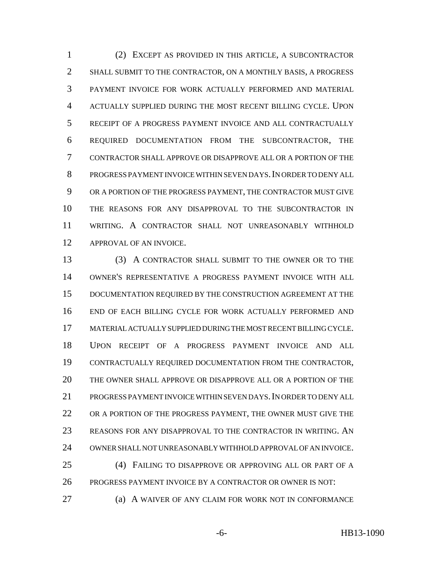(2) EXCEPT AS PROVIDED IN THIS ARTICLE, A SUBCONTRACTOR SHALL SUBMIT TO THE CONTRACTOR, ON A MONTHLY BASIS, A PROGRESS PAYMENT INVOICE FOR WORK ACTUALLY PERFORMED AND MATERIAL ACTUALLY SUPPLIED DURING THE MOST RECENT BILLING CYCLE. UPON RECEIPT OF A PROGRESS PAYMENT INVOICE AND ALL CONTRACTUALLY REQUIRED DOCUMENTATION FROM THE SUBCONTRACTOR, THE CONTRACTOR SHALL APPROVE OR DISAPPROVE ALL OR A PORTION OF THE PROGRESS PAYMENT INVOICE WITHIN SEVEN DAYS.IN ORDER TO DENY ALL OR A PORTION OF THE PROGRESS PAYMENT, THE CONTRACTOR MUST GIVE THE REASONS FOR ANY DISAPPROVAL TO THE SUBCONTRACTOR IN WRITING. A CONTRACTOR SHALL NOT UNREASONABLY WITHHOLD APPROVAL OF AN INVOICE.

 (3) A CONTRACTOR SHALL SUBMIT TO THE OWNER OR TO THE OWNER'S REPRESENTATIVE A PROGRESS PAYMENT INVOICE WITH ALL DOCUMENTATION REQUIRED BY THE CONSTRUCTION AGREEMENT AT THE END OF EACH BILLING CYCLE FOR WORK ACTUALLY PERFORMED AND MATERIAL ACTUALLY SUPPLIED DURING THE MOST RECENT BILLING CYCLE. UPON RECEIPT OF A PROGRESS PAYMENT INVOICE AND ALL CONTRACTUALLY REQUIRED DOCUMENTATION FROM THE CONTRACTOR, THE OWNER SHALL APPROVE OR DISAPPROVE ALL OR A PORTION OF THE PROGRESS PAYMENT INVOICE WITHIN SEVEN DAYS.IN ORDER TO DENY ALL 22 OR A PORTION OF THE PROGRESS PAYMENT, THE OWNER MUST GIVE THE REASONS FOR ANY DISAPPROVAL TO THE CONTRACTOR IN WRITING. AN OWNER SHALL NOT UNREASONABLY WITHHOLD APPROVAL OF AN INVOICE. (4) FAILING TO DISAPPROVE OR APPROVING ALL OR PART OF A PROGRESS PAYMENT INVOICE BY A CONTRACTOR OR OWNER IS NOT:

(a) A WAIVER OF ANY CLAIM FOR WORK NOT IN CONFORMANCE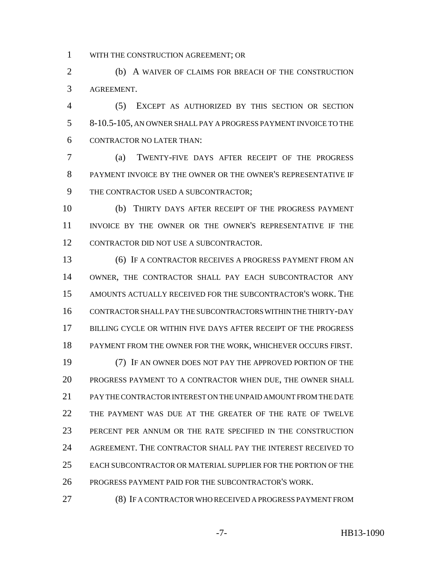WITH THE CONSTRUCTION AGREEMENT; OR

 (b) A WAIVER OF CLAIMS FOR BREACH OF THE CONSTRUCTION AGREEMENT.

 (5) EXCEPT AS AUTHORIZED BY THIS SECTION OR SECTION 8-10.5-105, AN OWNER SHALL PAY A PROGRESS PAYMENT INVOICE TO THE CONTRACTOR NO LATER THAN:

 (a) TWENTY-FIVE DAYS AFTER RECEIPT OF THE PROGRESS PAYMENT INVOICE BY THE OWNER OR THE OWNER'S REPRESENTATIVE IF THE CONTRACTOR USED A SUBCONTRACTOR;

 (b) THIRTY DAYS AFTER RECEIPT OF THE PROGRESS PAYMENT INVOICE BY THE OWNER OR THE OWNER'S REPRESENTATIVE IF THE CONTRACTOR DID NOT USE A SUBCONTRACTOR.

 (6) IF A CONTRACTOR RECEIVES A PROGRESS PAYMENT FROM AN OWNER, THE CONTRACTOR SHALL PAY EACH SUBCONTRACTOR ANY AMOUNTS ACTUALLY RECEIVED FOR THE SUBCONTRACTOR'S WORK. THE CONTRACTOR SHALL PAY THE SUBCONTRACTORS WITHIN THE THIRTY-DAY BILLING CYCLE OR WITHIN FIVE DAYS AFTER RECEIPT OF THE PROGRESS PAYMENT FROM THE OWNER FOR THE WORK, WHICHEVER OCCURS FIRST. (7) IF AN OWNER DOES NOT PAY THE APPROVED PORTION OF THE PROGRESS PAYMENT TO A CONTRACTOR WHEN DUE, THE OWNER SHALL PAY THE CONTRACTOR INTEREST ON THE UNPAID AMOUNT FROM THE DATE THE PAYMENT WAS DUE AT THE GREATER OF THE RATE OF TWELVE PERCENT PER ANNUM OR THE RATE SPECIFIED IN THE CONSTRUCTION AGREEMENT. THE CONTRACTOR SHALL PAY THE INTEREST RECEIVED TO EACH SUBCONTRACTOR OR MATERIAL SUPPLIER FOR THE PORTION OF THE PROGRESS PAYMENT PAID FOR THE SUBCONTRACTOR'S WORK.

(8) IF A CONTRACTOR WHO RECEIVED A PROGRESS PAYMENT FROM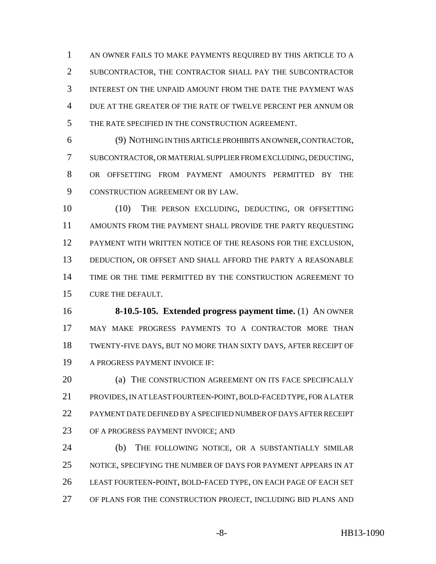AN OWNER FAILS TO MAKE PAYMENTS REQUIRED BY THIS ARTICLE TO A SUBCONTRACTOR, THE CONTRACTOR SHALL PAY THE SUBCONTRACTOR INTEREST ON THE UNPAID AMOUNT FROM THE DATE THE PAYMENT WAS DUE AT THE GREATER OF THE RATE OF TWELVE PERCENT PER ANNUM OR THE RATE SPECIFIED IN THE CONSTRUCTION AGREEMENT.

 (9) NOTHING IN THIS ARTICLE PROHIBITS AN OWNER, CONTRACTOR, SUBCONTRACTOR, OR MATERIAL SUPPLIER FROM EXCLUDING, DEDUCTING, OR OFFSETTING FROM PAYMENT AMOUNTS PERMITTED BY THE CONSTRUCTION AGREEMENT OR BY LAW.

 (10) THE PERSON EXCLUDING, DEDUCTING, OR OFFSETTING AMOUNTS FROM THE PAYMENT SHALL PROVIDE THE PARTY REQUESTING PAYMENT WITH WRITTEN NOTICE OF THE REASONS FOR THE EXCLUSION, 13 DEDUCTION, OR OFFSET AND SHALL AFFORD THE PARTY A REASONABLE TIME OR THE TIME PERMITTED BY THE CONSTRUCTION AGREEMENT TO CURE THE DEFAULT.

 **8-10.5-105. Extended progress payment time.** (1) AN OWNER MAY MAKE PROGRESS PAYMENTS TO A CONTRACTOR MORE THAN TWENTY-FIVE DAYS, BUT NO MORE THAN SIXTY DAYS, AFTER RECEIPT OF A PROGRESS PAYMENT INVOICE IF:

**(a) THE CONSTRUCTION AGREEMENT ON ITS FACE SPECIFICALLY**  PROVIDES, IN AT LEAST FOURTEEN-POINT, BOLD-FACED TYPE, FOR A LATER PAYMENT DATE DEFINED BY A SPECIFIED NUMBER OF DAYS AFTER RECEIPT OF A PROGRESS PAYMENT INVOICE; AND

 (b) THE FOLLOWING NOTICE, OR A SUBSTANTIALLY SIMILAR NOTICE, SPECIFYING THE NUMBER OF DAYS FOR PAYMENT APPEARS IN AT LEAST FOURTEEN-POINT, BOLD-FACED TYPE, ON EACH PAGE OF EACH SET OF PLANS FOR THE CONSTRUCTION PROJECT, INCLUDING BID PLANS AND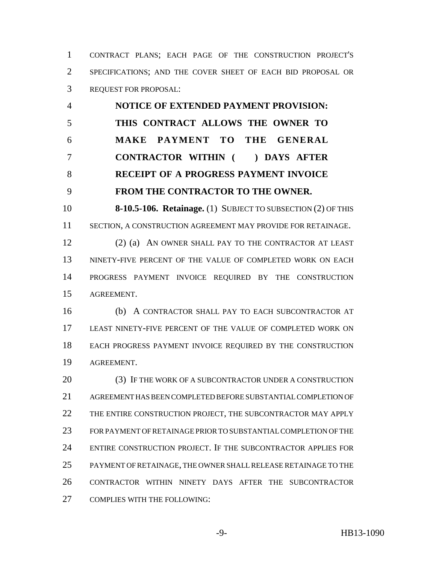CONTRACT PLANS; EACH PAGE OF THE CONSTRUCTION PROJECT'S SPECIFICATIONS; AND THE COVER SHEET OF EACH BID PROPOSAL OR REQUEST FOR PROPOSAL:

 **NOTICE OF EXTENDED PAYMENT PROVISION: THIS CONTRACT ALLOWS THE OWNER TO MAKE PAYMENT TO THE GENERAL CONTRACTOR WITHIN ( ) DAYS AFTER RECEIPT OF A PROGRESS PAYMENT INVOICE FROM THE CONTRACTOR TO THE OWNER.**

 **8-10.5-106. Retainage.** (1) SUBJECT TO SUBSECTION (2) OF THIS SECTION, A CONSTRUCTION AGREEMENT MAY PROVIDE FOR RETAINAGE.

 (2) (a) AN OWNER SHALL PAY TO THE CONTRACTOR AT LEAST NINETY-FIVE PERCENT OF THE VALUE OF COMPLETED WORK ON EACH PROGRESS PAYMENT INVOICE REQUIRED BY THE CONSTRUCTION AGREEMENT.

 (b) A CONTRACTOR SHALL PAY TO EACH SUBCONTRACTOR AT LEAST NINETY-FIVE PERCENT OF THE VALUE OF COMPLETED WORK ON EACH PROGRESS PAYMENT INVOICE REQUIRED BY THE CONSTRUCTION AGREEMENT.

20 (3) IF THE WORK OF A SUBCONTRACTOR UNDER A CONSTRUCTION AGREEMENT HAS BEEN COMPLETED BEFORE SUBSTANTIAL COMPLETION OF 22 THE ENTIRE CONSTRUCTION PROJECT, THE SUBCONTRACTOR MAY APPLY FOR PAYMENT OF RETAINAGE PRIOR TO SUBSTANTIAL COMPLETION OF THE ENTIRE CONSTRUCTION PROJECT. IF THE SUBCONTRACTOR APPLIES FOR PAYMENT OF RETAINAGE, THE OWNER SHALL RELEASE RETAINAGE TO THE CONTRACTOR WITHIN NINETY DAYS AFTER THE SUBCONTRACTOR COMPLIES WITH THE FOLLOWING: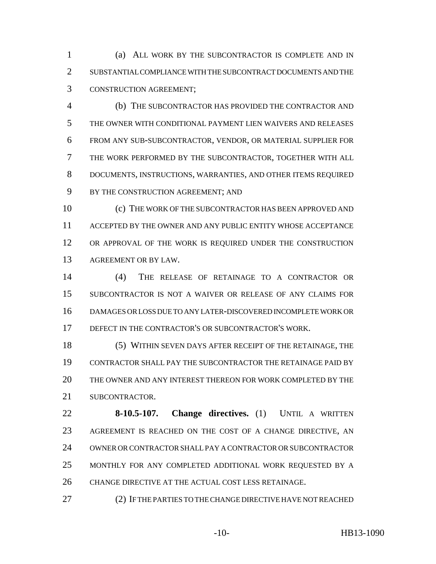(a) ALL WORK BY THE SUBCONTRACTOR IS COMPLETE AND IN SUBSTANTIAL COMPLIANCE WITH THE SUBCONTRACT DOCUMENTS AND THE CONSTRUCTION AGREEMENT;

 (b) THE SUBCONTRACTOR HAS PROVIDED THE CONTRACTOR AND THE OWNER WITH CONDITIONAL PAYMENT LIEN WAIVERS AND RELEASES FROM ANY SUB-SUBCONTRACTOR, VENDOR, OR MATERIAL SUPPLIER FOR THE WORK PERFORMED BY THE SUBCONTRACTOR, TOGETHER WITH ALL DOCUMENTS, INSTRUCTIONS, WARRANTIES, AND OTHER ITEMS REQUIRED BY THE CONSTRUCTION AGREEMENT; AND

 (c) THE WORK OF THE SUBCONTRACTOR HAS BEEN APPROVED AND ACCEPTED BY THE OWNER AND ANY PUBLIC ENTITY WHOSE ACCEPTANCE 12 OR APPROVAL OF THE WORK IS REQUIRED UNDER THE CONSTRUCTION AGREEMENT OR BY LAW.

 (4) THE RELEASE OF RETAINAGE TO A CONTRACTOR OR SUBCONTRACTOR IS NOT A WAIVER OR RELEASE OF ANY CLAIMS FOR DAMAGES OR LOSS DUE TO ANY LATER-DISCOVERED INCOMPLETE WORK OR DEFECT IN THE CONTRACTOR'S OR SUBCONTRACTOR'S WORK.

 (5) WITHIN SEVEN DAYS AFTER RECEIPT OF THE RETAINAGE, THE CONTRACTOR SHALL PAY THE SUBCONTRACTOR THE RETAINAGE PAID BY THE OWNER AND ANY INTEREST THEREON FOR WORK COMPLETED BY THE SUBCONTRACTOR.

 **8-10.5-107. Change directives.** (1) UNTIL A WRITTEN AGREEMENT IS REACHED ON THE COST OF A CHANGE DIRECTIVE, AN OWNER OR CONTRACTOR SHALL PAY A CONTRACTOR OR SUBCONTRACTOR MONTHLY FOR ANY COMPLETED ADDITIONAL WORK REQUESTED BY A CHANGE DIRECTIVE AT THE ACTUAL COST LESS RETAINAGE.

(2) IF THE PARTIES TO THE CHANGE DIRECTIVE HAVE NOT REACHED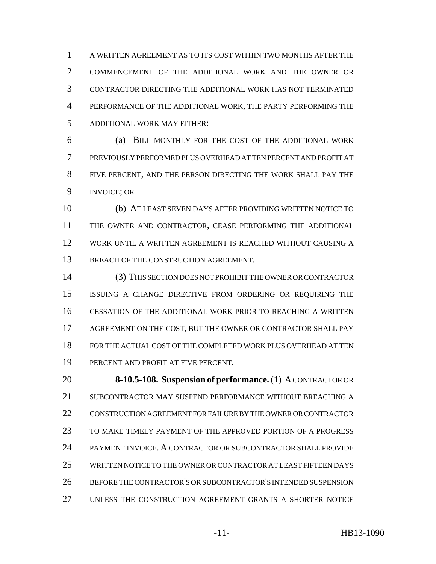A WRITTEN AGREEMENT AS TO ITS COST WITHIN TWO MONTHS AFTER THE COMMENCEMENT OF THE ADDITIONAL WORK AND THE OWNER OR CONTRACTOR DIRECTING THE ADDITIONAL WORK HAS NOT TERMINATED PERFORMANCE OF THE ADDITIONAL WORK, THE PARTY PERFORMING THE ADDITIONAL WORK MAY EITHER:

 (a) BILL MONTHLY FOR THE COST OF THE ADDITIONAL WORK PREVIOUSLY PERFORMED PLUS OVERHEAD AT TEN PERCENT AND PROFIT AT FIVE PERCENT, AND THE PERSON DIRECTING THE WORK SHALL PAY THE INVOICE; OR

 (b) AT LEAST SEVEN DAYS AFTER PROVIDING WRITTEN NOTICE TO THE OWNER AND CONTRACTOR, CEASE PERFORMING THE ADDITIONAL WORK UNTIL A WRITTEN AGREEMENT IS REACHED WITHOUT CAUSING A 13 BREACH OF THE CONSTRUCTION AGREEMENT.

 (3) THIS SECTION DOES NOT PROHIBIT THE OWNER OR CONTRACTOR ISSUING A CHANGE DIRECTIVE FROM ORDERING OR REQUIRING THE CESSATION OF THE ADDITIONAL WORK PRIOR TO REACHING A WRITTEN AGREEMENT ON THE COST, BUT THE OWNER OR CONTRACTOR SHALL PAY FOR THE ACTUAL COST OF THE COMPLETED WORK PLUS OVERHEAD AT TEN PERCENT AND PROFIT AT FIVE PERCENT.

 **8-10.5-108. Suspension of performance.** (1) A CONTRACTOR OR SUBCONTRACTOR MAY SUSPEND PERFORMANCE WITHOUT BREACHING A CONSTRUCTION AGREEMENT FOR FAILURE BY THE OWNER OR CONTRACTOR TO MAKE TIMELY PAYMENT OF THE APPROVED PORTION OF A PROGRESS PAYMENT INVOICE. A CONTRACTOR OR SUBCONTRACTOR SHALL PROVIDE WRITTEN NOTICE TO THE OWNER OR CONTRACTOR AT LEAST FIFTEEN DAYS BEFORE THE CONTRACTOR'S OR SUBCONTRACTOR'S INTENDED SUSPENSION UNLESS THE CONSTRUCTION AGREEMENT GRANTS A SHORTER NOTICE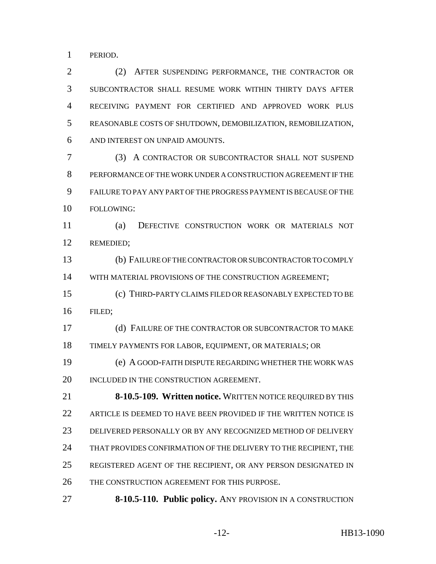PERIOD.

 (2) AFTER SUSPENDING PERFORMANCE, THE CONTRACTOR OR SUBCONTRACTOR SHALL RESUME WORK WITHIN THIRTY DAYS AFTER RECEIVING PAYMENT FOR CERTIFIED AND APPROVED WORK PLUS REASONABLE COSTS OF SHUTDOWN, DEMOBILIZATION, REMOBILIZATION, AND INTEREST ON UNPAID AMOUNTS.

 (3) A CONTRACTOR OR SUBCONTRACTOR SHALL NOT SUSPEND PERFORMANCE OF THE WORK UNDER A CONSTRUCTION AGREEMENT IF THE FAILURE TO PAY ANY PART OF THE PROGRESS PAYMENT IS BECAUSE OF THE FOLLOWING:

 (a) DEFECTIVE CONSTRUCTION WORK OR MATERIALS NOT REMEDIED;

 (b) FAILURE OF THE CONTRACTOR OR SUBCONTRACTOR TO COMPLY WITH MATERIAL PROVISIONS OF THE CONSTRUCTION AGREEMENT;

 (c) THIRD-PARTY CLAIMS FILED OR REASONABLY EXPECTED TO BE FILED;

 (d) FAILURE OF THE CONTRACTOR OR SUBCONTRACTOR TO MAKE TIMELY PAYMENTS FOR LABOR, EQUIPMENT, OR MATERIALS; OR

 (e) A GOOD-FAITH DISPUTE REGARDING WHETHER THE WORK WAS 20 INCLUDED IN THE CONSTRUCTION AGREEMENT.

 **8-10.5-109. Written notice.** WRITTEN NOTICE REQUIRED BY THIS 22 ARTICLE IS DEEMED TO HAVE BEEN PROVIDED IF THE WRITTEN NOTICE IS DELIVERED PERSONALLY OR BY ANY RECOGNIZED METHOD OF DELIVERY 24 THAT PROVIDES CONFIRMATION OF THE DELIVERY TO THE RECIPIENT, THE REGISTERED AGENT OF THE RECIPIENT, OR ANY PERSON DESIGNATED IN THE CONSTRUCTION AGREEMENT FOR THIS PURPOSE.

**8-10.5-110. Public policy.** ANY PROVISION IN A CONSTRUCTION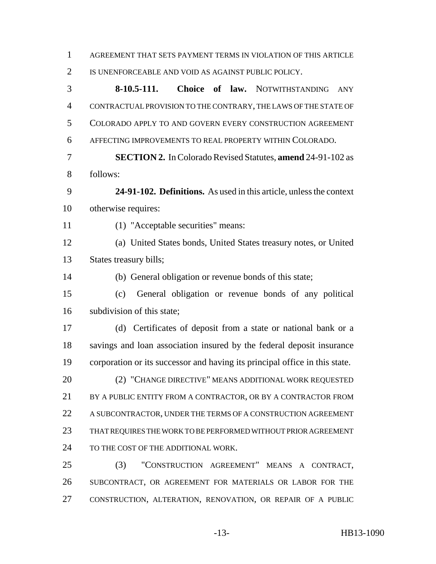| $\mathbf{1}$   | AGREEMENT THAT SETS PAYMENT TERMS IN VIOLATION OF THIS ARTICLE              |
|----------------|-----------------------------------------------------------------------------|
| $\overline{2}$ | IS UNENFORCEABLE AND VOID AS AGAINST PUBLIC POLICY.                         |
| 3              | Choice of law.<br>$8-10.5-111.$<br><b>NOTWITHSTANDING</b><br><b>ANY</b>     |
| $\overline{4}$ | CONTRACTUAL PROVISION TO THE CONTRARY, THE LAWS OF THE STATE OF             |
| 5              | COLORADO APPLY TO AND GOVERN EVERY CONSTRUCTION AGREEMENT                   |
| 6              | AFFECTING IMPROVEMENTS TO REAL PROPERTY WITHIN COLORADO.                    |
| 7              | <b>SECTION 2.</b> In Colorado Revised Statutes, amend 24-91-102 as          |
| 8              | follows:                                                                    |
| 9              | 24-91-102. Definitions. As used in this article, unless the context         |
| 10             | otherwise requires:                                                         |
| 11             | (1) "Acceptable securities" means:                                          |
| 12             | (a) United States bonds, United States treasury notes, or United            |
| 13             | States treasury bills;                                                      |
| 14             | (b) General obligation or revenue bonds of this state;                      |
| 15             | General obligation or revenue bonds of any political<br>(c)                 |
| 16             | subdivision of this state;                                                  |
| 17             | (d) Certificates of deposit from a state or national bank or a              |
| 18             | savings and loan association insured by the federal deposit insurance       |
| 19             | corporation or its successor and having its principal office in this state. |
| 20             | (2) "CHANGE DIRECTIVE" MEANS ADDITIONAL WORK REQUESTED                      |
| 21             | BY A PUBLIC ENTITY FROM A CONTRACTOR, OR BY A CONTRACTOR FROM               |
| 22             | A SUBCONTRACTOR, UNDER THE TERMS OF A CONSTRUCTION AGREEMENT                |
| 23             | THAT REQUIRES THE WORK TO BE PERFORMED WITHOUT PRIOR AGREEMENT              |
| 24             | TO THE COST OF THE ADDITIONAL WORK.                                         |
| 25             | "CONSTRUCTION AGREEMENT" MEANS A CONTRACT,<br>(3)                           |
| 26             | SUBCONTRACT, OR AGREEMENT FOR MATERIALS OR LABOR FOR THE                    |
| 27             | CONSTRUCTION, ALTERATION, RENOVATION, OR REPAIR OF A PUBLIC                 |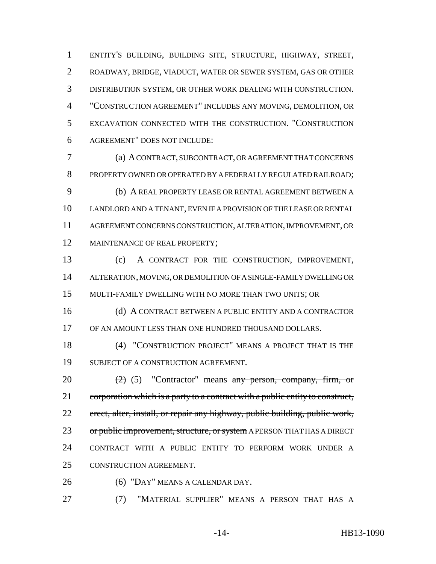ENTITY'S BUILDING, BUILDING SITE, STRUCTURE, HIGHWAY, STREET, ROADWAY, BRIDGE, VIADUCT, WATER OR SEWER SYSTEM, GAS OR OTHER DISTRIBUTION SYSTEM, OR OTHER WORK DEALING WITH CONSTRUCTION. "CONSTRUCTION AGREEMENT" INCLUDES ANY MOVING, DEMOLITION, OR EXCAVATION CONNECTED WITH THE CONSTRUCTION. "CONSTRUCTION AGREEMENT" DOES NOT INCLUDE:

 (a) A CONTRACT, SUBCONTRACT, OR AGREEMENT THAT CONCERNS PROPERTY OWNED OR OPERATED BY A FEDERALLY REGULATED RAILROAD; (b) A REAL PROPERTY LEASE OR RENTAL AGREEMENT BETWEEN A LANDLORD AND A TENANT, EVEN IF A PROVISION OF THE LEASE OR RENTAL AGREEMENT CONCERNS CONSTRUCTION, ALTERATION, IMPROVEMENT, OR 12 MAINTENANCE OF REAL PROPERTY;

 (c) A CONTRACT FOR THE CONSTRUCTION, IMPROVEMENT, ALTERATION, MOVING, OR DEMOLITION OF A SINGLE-FAMILY DWELLING OR MULTI-FAMILY DWELLING WITH NO MORE THAN TWO UNITS; OR

 (d) A CONTRACT BETWEEN A PUBLIC ENTITY AND A CONTRACTOR OF AN AMOUNT LESS THAN ONE HUNDRED THOUSAND DOLLARS.

 (4) "CONSTRUCTION PROJECT" MEANS A PROJECT THAT IS THE SUBJECT OF A CONSTRUCTION AGREEMENT.

 $(2)$  (5) "Contractor" means any person, company, firm, or 21 corporation which is a party to a contract with a public entity to construct, erect, alter, install, or repair any highway, public building, public work, 23 or public improvement, structure, or system A PERSON THAT HAS A DIRECT CONTRACT WITH A PUBLIC ENTITY TO PERFORM WORK UNDER A CONSTRUCTION AGREEMENT.

(6) "DAY" MEANS A CALENDAR DAY.

(7) "MATERIAL SUPPLIER" MEANS A PERSON THAT HAS A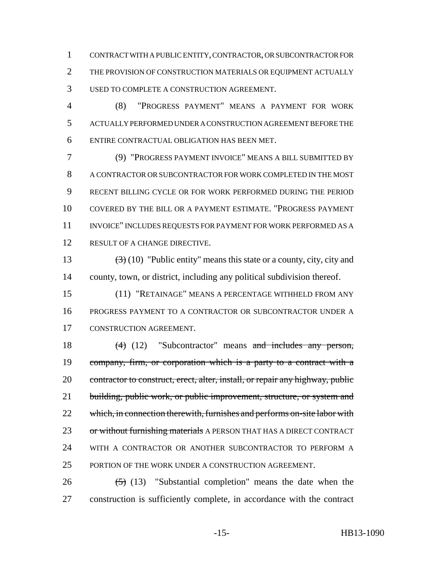CONTRACT WITH A PUBLIC ENTITY, CONTRACTOR, OR SUBCONTRACTOR FOR THE PROVISION OF CONSTRUCTION MATERIALS OR EQUIPMENT ACTUALLY USED TO COMPLETE A CONSTRUCTION AGREEMENT.

 (8) "PROGRESS PAYMENT" MEANS A PAYMENT FOR WORK ACTUALLY PERFORMED UNDER A CONSTRUCTION AGREEMENT BEFORE THE ENTIRE CONTRACTUAL OBLIGATION HAS BEEN MET.

 (9) "PROGRESS PAYMENT INVOICE" MEANS A BILL SUBMITTED BY A CONTRACTOR OR SUBCONTRACTOR FOR WORK COMPLETED IN THE MOST RECENT BILLING CYCLE OR FOR WORK PERFORMED DURING THE PERIOD COVERED BY THE BILL OR A PAYMENT ESTIMATE. "PROGRESS PAYMENT INVOICE" INCLUDES REQUESTS FOR PAYMENT FOR WORK PERFORMED AS A 12 RESULT OF A CHANGE DIRECTIVE.

13  $(3)(10)$  "Public entity" means this state or a county, city, city and county, town, or district, including any political subdivision thereof.

 (11) "RETAINAGE" MEANS A PERCENTAGE WITHHELD FROM ANY PROGRESS PAYMENT TO A CONTRACTOR OR SUBCONTRACTOR UNDER A CONSTRUCTION AGREEMENT.

18 (4) (12) "Subcontractor" means and includes any person, company, firm, or corporation which is a party to a contract with a 20 contractor to construct, erect, alter, install, or repair any highway, public 21 building, public work, or public improvement, structure, or system and 22 which, in connection therewith, furnishes and performs on-site labor with 23 or without furnishing materials A PERSON THAT HAS A DIRECT CONTRACT WITH A CONTRACTOR OR ANOTHER SUBCONTRACTOR TO PERFORM A PORTION OF THE WORK UNDER A CONSTRUCTION AGREEMENT.

26  $(5)$  (13) "Substantial completion" means the date when the construction is sufficiently complete, in accordance with the contract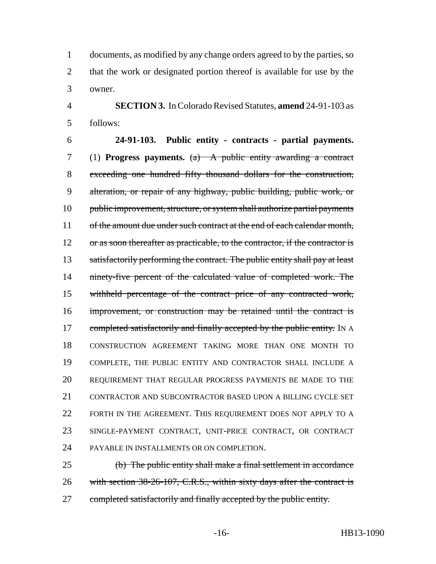documents, as modified by any change orders agreed to by the parties, so 2 that the work or designated portion thereof is available for use by the owner.

 **SECTION 3.** In Colorado Revised Statutes, **amend** 24-91-103 as follows:

 **24-91-103. Public entity - contracts - partial payments.** (1) **Progress payments.** (a) A public entity awarding a contract exceeding one hundred fifty thousand dollars for the construction, alteration, or repair of any highway, public building, public work, or public improvement, structure, or system shall authorize partial payments 11 of the amount due under such contract at the end of each calendar month, 12 or as soon thereafter as practicable, to the contractor, if the contractor is 13 satisfactorily performing the contract. The public entity shall pay at least ninety-five percent of the calculated value of completed work. The withheld percentage of the contract price of any contracted work, improvement, or construction may be retained until the contract is 17 completed satisfactorily and finally accepted by the public entity. IN A CONSTRUCTION AGREEMENT TAKING MORE THAN ONE MONTH TO COMPLETE, THE PUBLIC ENTITY AND CONTRACTOR SHALL INCLUDE A REQUIREMENT THAT REGULAR PROGRESS PAYMENTS BE MADE TO THE CONTRACTOR AND SUBCONTRACTOR BASED UPON A BILLING CYCLE SET FORTH IN THE AGREEMENT. THIS REQUIREMENT DOES NOT APPLY TO A SINGLE-PAYMENT CONTRACT, UNIT-PRICE CONTRACT, OR CONTRACT PAYABLE IN INSTALLMENTS OR ON COMPLETION.

 (b) The public entity shall make a final settlement in accordance 26 with section 38-26-107, C.R.S., within sixty days after the contract is 27 completed satisfactorily and finally accepted by the public entity.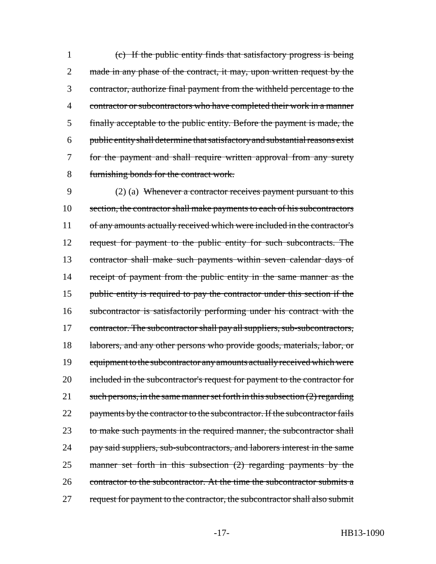(c) If the public entity finds that satisfactory progress is being 2 made in any phase of the contract, it may, upon written request by the contractor, authorize final payment from the withheld percentage to the contractor or subcontractors who have completed their work in a manner finally acceptable to the public entity. Before the payment is made, the public entity shall determine that satisfactory and substantial reasons exist for the payment and shall require written approval from any surety furnishing bonds for the contract work.

9 (2) (a) Whenever a contractor receives payment pursuant to this 10 section, the contractor shall make payments to each of his subcontractors 11 of any amounts actually received which were included in the contractor's 12 request for payment to the public entity for such subcontracts. The 13 contractor shall make such payments within seven calendar days of 14 receipt of payment from the public entity in the same manner as the 15 public entity is required to pay the contractor under this section if the 16 subcontractor is satisfactorily performing under his contract with the 17 contractor. The subcontractor shall pay all suppliers, sub-subcontractors, 18 laborers, and any other persons who provide goods, materials, labor, or 19 equipment to the subcontractor any amounts actually received which were 20 included in the subcontractor's request for payment to the contractor for 21 such persons, in the same manner set forth in this subsection  $(2)$  regarding 22 payments by the contractor to the subcontractor. If the subcontractor fails 23 to make such payments in the required manner, the subcontractor shall 24 pay said suppliers, sub-subcontractors, and laborers interest in the same 25 manner set forth in this subsection (2) regarding payments by the 26 contractor to the subcontractor. At the time the subcontractor submits a 27 request for payment to the contractor, the subcontractor shall also submit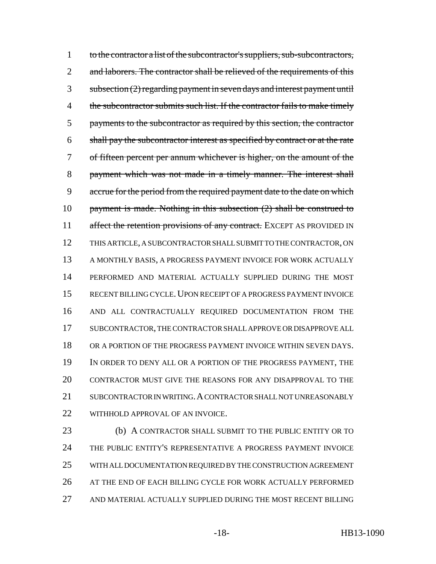1 to the contractor a list of the subcontractor's suppliers, sub-subcontractors, 2 and laborers. The contractor shall be relieved of the requirements of this subsection (2) regarding payment in seven days and interest payment until 4 the subcontractor submits such list. If the contractor fails to make timely payments to the subcontractor as required by this section, the contractor shall pay the subcontractor interest as specified by contract or at the rate of fifteen percent per annum whichever is higher, on the amount of the payment which was not made in a timely manner. The interest shall accrue for the period from the required payment date to the date on which 10 payment is made. Nothing in this subsection (2) shall be construed to 11 affect the retention provisions of any contract. EXCEPT AS PROVIDED IN THIS ARTICLE, A SUBCONTRACTOR SHALL SUBMIT TO THE CONTRACTOR, ON 13 A MONTHLY BASIS, A PROGRESS PAYMENT INVOICE FOR WORK ACTUALLY PERFORMED AND MATERIAL ACTUALLY SUPPLIED DURING THE MOST 15 RECENT BILLING CYCLE. UPON RECEIPT OF A PROGRESS PAYMENT INVOICE AND ALL CONTRACTUALLY REQUIRED DOCUMENTATION FROM THE SUBCONTRACTOR, THE CONTRACTOR SHALL APPROVE OR DISAPPROVE ALL OR A PORTION OF THE PROGRESS PAYMENT INVOICE WITHIN SEVEN DAYS. IN ORDER TO DENY ALL OR A PORTION OF THE PROGRESS PAYMENT, THE CONTRACTOR MUST GIVE THE REASONS FOR ANY DISAPPROVAL TO THE 21 SUBCONTRACTOR IN WRITING. A CONTRACTOR SHALL NOT UNREASONABLY 22 WITHHOLD APPROVAL OF AN INVOICE.

 (b) A CONTRACTOR SHALL SUBMIT TO THE PUBLIC ENTITY OR TO THE PUBLIC ENTITY'S REPRESENTATIVE A PROGRESS PAYMENT INVOICE WITH ALL DOCUMENTATION REQUIRED BY THE CONSTRUCTION AGREEMENT AT THE END OF EACH BILLING CYCLE FOR WORK ACTUALLY PERFORMED AND MATERIAL ACTUALLY SUPPLIED DURING THE MOST RECENT BILLING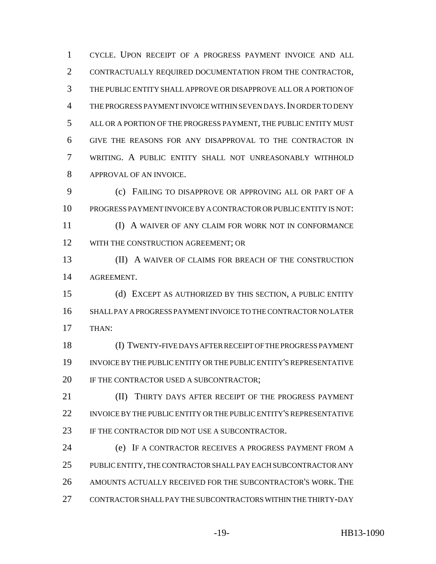CYCLE. UPON RECEIPT OF A PROGRESS PAYMENT INVOICE AND ALL CONTRACTUALLY REQUIRED DOCUMENTATION FROM THE CONTRACTOR, THE PUBLIC ENTITY SHALL APPROVE OR DISAPPROVE ALL OR A PORTION OF THE PROGRESS PAYMENT INVOICE WITHIN SEVEN DAYS.IN ORDER TO DENY ALL OR A PORTION OF THE PROGRESS PAYMENT, THE PUBLIC ENTITY MUST GIVE THE REASONS FOR ANY DISAPPROVAL TO THE CONTRACTOR IN WRITING. A PUBLIC ENTITY SHALL NOT UNREASONABLY WITHHOLD APPROVAL OF AN INVOICE.

 (c) FAILING TO DISAPPROVE OR APPROVING ALL OR PART OF A PROGRESS PAYMENT INVOICE BY A CONTRACTOR OR PUBLIC ENTITY IS NOT: (I) A WAIVER OF ANY CLAIM FOR WORK NOT IN CONFORMANCE

12 WITH THE CONSTRUCTION AGREEMENT; OR

 (II) A WAIVER OF CLAIMS FOR BREACH OF THE CONSTRUCTION AGREEMENT.

 (d) EXCEPT AS AUTHORIZED BY THIS SECTION, A PUBLIC ENTITY SHALL PAY A PROGRESS PAYMENT INVOICE TO THE CONTRACTOR NO LATER THAN:

 (I) TWENTY-FIVE DAYS AFTER RECEIPT OF THE PROGRESS PAYMENT INVOICE BY THE PUBLIC ENTITY OR THE PUBLIC ENTITY'S REPRESENTATIVE 20 IF THE CONTRACTOR USED A SUBCONTRACTOR;

 (II) THIRTY DAYS AFTER RECEIPT OF THE PROGRESS PAYMENT INVOICE BY THE PUBLIC ENTITY OR THE PUBLIC ENTITY'S REPRESENTATIVE 23 IF THE CONTRACTOR DID NOT USE A SUBCONTRACTOR.

 (e) IF A CONTRACTOR RECEIVES A PROGRESS PAYMENT FROM A PUBLIC ENTITY, THE CONTRACTOR SHALL PAY EACH SUBCONTRACTOR ANY AMOUNTS ACTUALLY RECEIVED FOR THE SUBCONTRACTOR'S WORK. THE CONTRACTOR SHALL PAY THE SUBCONTRACTORS WITHIN THE THIRTY-DAY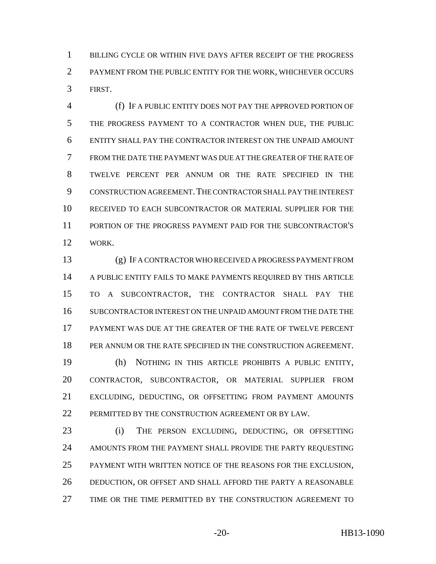BILLING CYCLE OR WITHIN FIVE DAYS AFTER RECEIPT OF THE PROGRESS PAYMENT FROM THE PUBLIC ENTITY FOR THE WORK, WHICHEVER OCCURS FIRST.

 (f) IF A PUBLIC ENTITY DOES NOT PAY THE APPROVED PORTION OF THE PROGRESS PAYMENT TO A CONTRACTOR WHEN DUE, THE PUBLIC ENTITY SHALL PAY THE CONTRACTOR INTEREST ON THE UNPAID AMOUNT FROM THE DATE THE PAYMENT WAS DUE AT THE GREATER OF THE RATE OF TWELVE PERCENT PER ANNUM OR THE RATE SPECIFIED IN THE CONSTRUCTION AGREEMENT.THE CONTRACTOR SHALL PAY THE INTEREST RECEIVED TO EACH SUBCONTRACTOR OR MATERIAL SUPPLIER FOR THE PORTION OF THE PROGRESS PAYMENT PAID FOR THE SUBCONTRACTOR'S WORK.

 (g) IF A CONTRACTOR WHO RECEIVED A PROGRESS PAYMENT FROM A PUBLIC ENTITY FAILS TO MAKE PAYMENTS REQUIRED BY THIS ARTICLE TO A SUBCONTRACTOR, THE CONTRACTOR SHALL PAY THE SUBCONTRACTOR INTEREST ON THE UNPAID AMOUNT FROM THE DATE THE PAYMENT WAS DUE AT THE GREATER OF THE RATE OF TWELVE PERCENT PER ANNUM OR THE RATE SPECIFIED IN THE CONSTRUCTION AGREEMENT. (h) NOTHING IN THIS ARTICLE PROHIBITS A PUBLIC ENTITY, CONTRACTOR, SUBCONTRACTOR, OR MATERIAL SUPPLIER FROM

 EXCLUDING, DEDUCTING, OR OFFSETTING FROM PAYMENT AMOUNTS 22 PERMITTED BY THE CONSTRUCTION AGREEMENT OR BY LAW.

 (i) THE PERSON EXCLUDING, DEDUCTING, OR OFFSETTING AMOUNTS FROM THE PAYMENT SHALL PROVIDE THE PARTY REQUESTING PAYMENT WITH WRITTEN NOTICE OF THE REASONS FOR THE EXCLUSION, DEDUCTION, OR OFFSET AND SHALL AFFORD THE PARTY A REASONABLE TIME OR THE TIME PERMITTED BY THE CONSTRUCTION AGREEMENT TO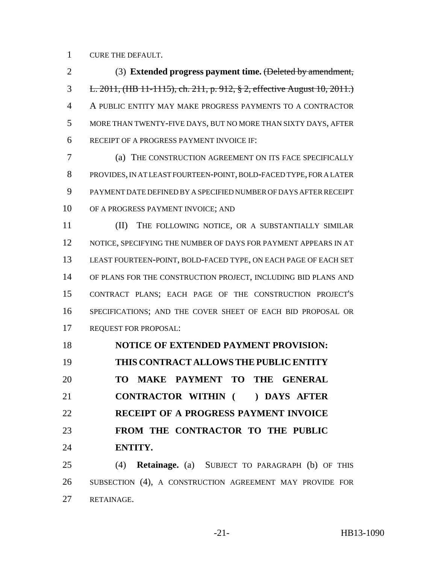CURE THE DEFAULT.

 (3) **Extended progress payment time.** (Deleted by amendment, L. 2011, (HB 11-1115), ch. 211, p. 912, § 2, effective August 10, 2011.) A PUBLIC ENTITY MAY MAKE PROGRESS PAYMENTS TO A CONTRACTOR MORE THAN TWENTY-FIVE DAYS, BUT NO MORE THAN SIXTY DAYS, AFTER RECEIPT OF A PROGRESS PAYMENT INVOICE IF:

 (a) THE CONSTRUCTION AGREEMENT ON ITS FACE SPECIFICALLY PROVIDES, IN AT LEAST FOURTEEN-POINT, BOLD-FACED TYPE, FOR A LATER PAYMENT DATE DEFINED BY A SPECIFIED NUMBER OF DAYS AFTER RECEIPT OF A PROGRESS PAYMENT INVOICE; AND

**III** THE FOLLOWING NOTICE, OR A SUBSTANTIALLY SIMILAR 12 NOTICE, SPECIFYING THE NUMBER OF DAYS FOR PAYMENT APPEARS IN AT LEAST FOURTEEN-POINT, BOLD-FACED TYPE, ON EACH PAGE OF EACH SET OF PLANS FOR THE CONSTRUCTION PROJECT, INCLUDING BID PLANS AND CONTRACT PLANS; EACH PAGE OF THE CONSTRUCTION PROJECT'S SPECIFICATIONS; AND THE COVER SHEET OF EACH BID PROPOSAL OR REQUEST FOR PROPOSAL:

 **NOTICE OF EXTENDED PAYMENT PROVISION: THIS CONTRACT ALLOWS THE PUBLIC ENTITY TO MAKE PAYMENT TO THE GENERAL CONTRACTOR WITHIN ( ) DAYS AFTER RECEIPT OF A PROGRESS PAYMENT INVOICE FROM THE CONTRACTOR TO THE PUBLIC ENTITY.**

 (4) **Retainage.** (a) SUBJECT TO PARAGRAPH (b) OF THIS SUBSECTION (4), A CONSTRUCTION AGREEMENT MAY PROVIDE FOR RETAINAGE.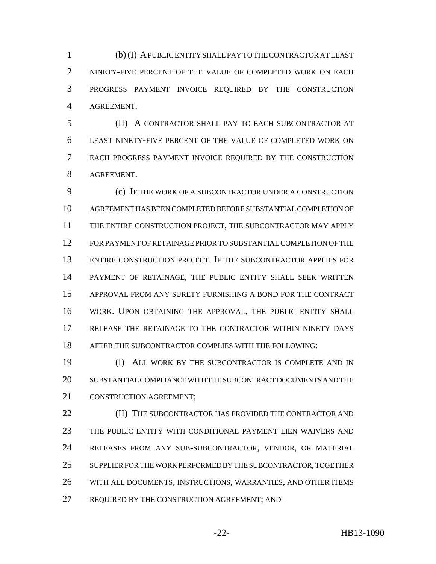(b) (I) A PUBLIC ENTITY SHALL PAY TO THE CONTRACTOR AT LEAST NINETY-FIVE PERCENT OF THE VALUE OF COMPLETED WORK ON EACH PROGRESS PAYMENT INVOICE REQUIRED BY THE CONSTRUCTION AGREEMENT.

 (II) A CONTRACTOR SHALL PAY TO EACH SUBCONTRACTOR AT LEAST NINETY-FIVE PERCENT OF THE VALUE OF COMPLETED WORK ON EACH PROGRESS PAYMENT INVOICE REQUIRED BY THE CONSTRUCTION AGREEMENT.

 (c) IF THE WORK OF A SUBCONTRACTOR UNDER A CONSTRUCTION AGREEMENT HAS BEEN COMPLETED BEFORE SUBSTANTIAL COMPLETION OF THE ENTIRE CONSTRUCTION PROJECT, THE SUBCONTRACTOR MAY APPLY FOR PAYMENT OF RETAINAGE PRIOR TO SUBSTANTIAL COMPLETION OF THE ENTIRE CONSTRUCTION PROJECT. IF THE SUBCONTRACTOR APPLIES FOR PAYMENT OF RETAINAGE, THE PUBLIC ENTITY SHALL SEEK WRITTEN APPROVAL FROM ANY SURETY FURNISHING A BOND FOR THE CONTRACT WORK. UPON OBTAINING THE APPROVAL, THE PUBLIC ENTITY SHALL RELEASE THE RETAINAGE TO THE CONTRACTOR WITHIN NINETY DAYS AFTER THE SUBCONTRACTOR COMPLIES WITH THE FOLLOWING:

 (I) ALL WORK BY THE SUBCONTRACTOR IS COMPLETE AND IN SUBSTANTIAL COMPLIANCE WITH THE SUBCONTRACT DOCUMENTS AND THE 21 CONSTRUCTION AGREEMENT:

**III)** THE SUBCONTRACTOR HAS PROVIDED THE CONTRACTOR AND THE PUBLIC ENTITY WITH CONDITIONAL PAYMENT LIEN WAIVERS AND RELEASES FROM ANY SUB-SUBCONTRACTOR, VENDOR, OR MATERIAL SUPPLIER FOR THE WORK PERFORMED BY THE SUBCONTRACTOR, TOGETHER WITH ALL DOCUMENTS, INSTRUCTIONS, WARRANTIES, AND OTHER ITEMS 27 REQUIRED BY THE CONSTRUCTION AGREEMENT; AND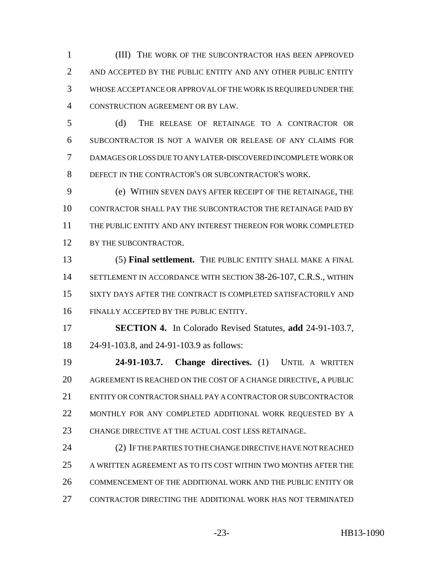(III) THE WORK OF THE SUBCONTRACTOR HAS BEEN APPROVED 2 AND ACCEPTED BY THE PUBLIC ENTITY AND ANY OTHER PUBLIC ENTITY WHOSE ACCEPTANCE OR APPROVAL OF THE WORK IS REQUIRED UNDER THE CONSTRUCTION AGREEMENT OR BY LAW.

 (d) THE RELEASE OF RETAINAGE TO A CONTRACTOR OR SUBCONTRACTOR IS NOT A WAIVER OR RELEASE OF ANY CLAIMS FOR DAMAGES OR LOSS DUE TO ANY LATER-DISCOVERED INCOMPLETE WORK OR DEFECT IN THE CONTRACTOR'S OR SUBCONTRACTOR'S WORK.

 (e) WITHIN SEVEN DAYS AFTER RECEIPT OF THE RETAINAGE, THE CONTRACTOR SHALL PAY THE SUBCONTRACTOR THE RETAINAGE PAID BY THE PUBLIC ENTITY AND ANY INTEREST THEREON FOR WORK COMPLETED 12 BY THE SUBCONTRACTOR.

 (5) **Final settlement.** THE PUBLIC ENTITY SHALL MAKE A FINAL SETTLEMENT IN ACCORDANCE WITH SECTION 38-26-107, C.R.S., WITHIN SIXTY DAYS AFTER THE CONTRACT IS COMPLETED SATISFACTORILY AND FINALLY ACCEPTED BY THE PUBLIC ENTITY.

 **SECTION 4.** In Colorado Revised Statutes, **add** 24-91-103.7, 24-91-103.8, and 24-91-103.9 as follows:

 **24-91-103.7. Change directives.** (1) UNTIL A WRITTEN AGREEMENT IS REACHED ON THE COST OF A CHANGE DIRECTIVE, A PUBLIC ENTITY OR CONTRACTOR SHALL PAY A CONTRACTOR OR SUBCONTRACTOR MONTHLY FOR ANY COMPLETED ADDITIONAL WORK REQUESTED BY A CHANGE DIRECTIVE AT THE ACTUAL COST LESS RETAINAGE.

 (2) IF THE PARTIES TO THE CHANGE DIRECTIVE HAVE NOT REACHED A WRITTEN AGREEMENT AS TO ITS COST WITHIN TWO MONTHS AFTER THE COMMENCEMENT OF THE ADDITIONAL WORK AND THE PUBLIC ENTITY OR CONTRACTOR DIRECTING THE ADDITIONAL WORK HAS NOT TERMINATED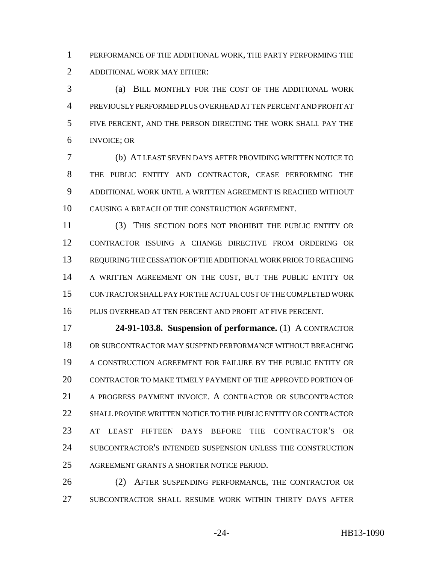PERFORMANCE OF THE ADDITIONAL WORK, THE PARTY PERFORMING THE ADDITIONAL WORK MAY EITHER:

 (a) BILL MONTHLY FOR THE COST OF THE ADDITIONAL WORK PREVIOUSLY PERFORMED PLUS OVERHEAD AT TEN PERCENT AND PROFIT AT FIVE PERCENT, AND THE PERSON DIRECTING THE WORK SHALL PAY THE INVOICE; OR

 (b) AT LEAST SEVEN DAYS AFTER PROVIDING WRITTEN NOTICE TO THE PUBLIC ENTITY AND CONTRACTOR, CEASE PERFORMING THE ADDITIONAL WORK UNTIL A WRITTEN AGREEMENT IS REACHED WITHOUT CAUSING A BREACH OF THE CONSTRUCTION AGREEMENT.

 (3) THIS SECTION DOES NOT PROHIBIT THE PUBLIC ENTITY OR CONTRACTOR ISSUING A CHANGE DIRECTIVE FROM ORDERING OR REQUIRING THE CESSATION OF THE ADDITIONAL WORK PRIOR TO REACHING A WRITTEN AGREEMENT ON THE COST, BUT THE PUBLIC ENTITY OR CONTRACTOR SHALL PAY FOR THE ACTUAL COST OF THE COMPLETED WORK PLUS OVERHEAD AT TEN PERCENT AND PROFIT AT FIVE PERCENT.

 **24-91-103.8. Suspension of performance.** (1) A CONTRACTOR OR SUBCONTRACTOR MAY SUSPEND PERFORMANCE WITHOUT BREACHING A CONSTRUCTION AGREEMENT FOR FAILURE BY THE PUBLIC ENTITY OR CONTRACTOR TO MAKE TIMELY PAYMENT OF THE APPROVED PORTION OF A PROGRESS PAYMENT INVOICE. A CONTRACTOR OR SUBCONTRACTOR SHALL PROVIDE WRITTEN NOTICE TO THE PUBLIC ENTITY OR CONTRACTOR AT LEAST FIFTEEN DAYS BEFORE THE CONTRACTOR'S OR SUBCONTRACTOR'S INTENDED SUSPENSION UNLESS THE CONSTRUCTION AGREEMENT GRANTS A SHORTER NOTICE PERIOD.

 (2) AFTER SUSPENDING PERFORMANCE, THE CONTRACTOR OR SUBCONTRACTOR SHALL RESUME WORK WITHIN THIRTY DAYS AFTER